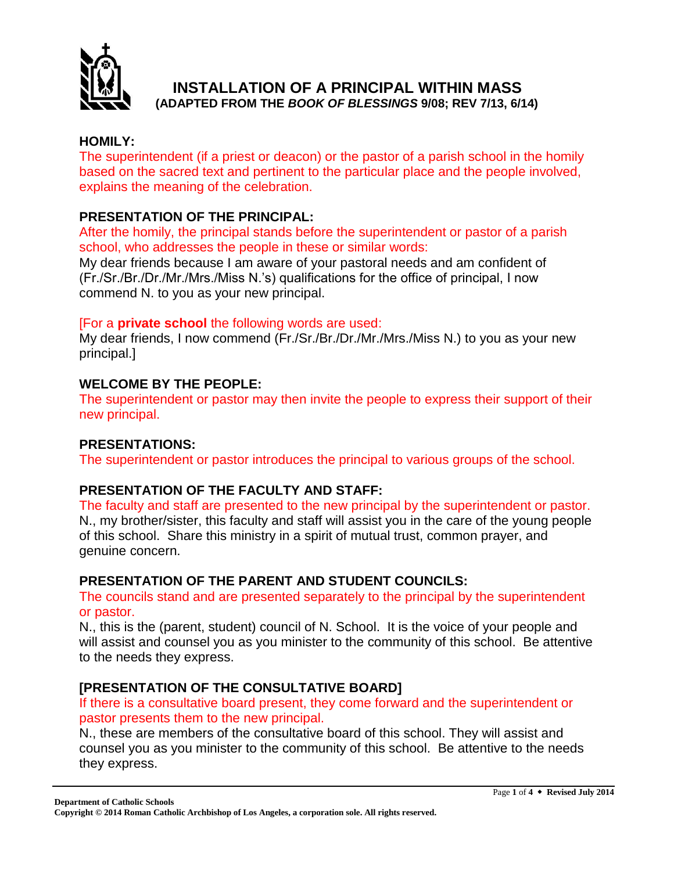

#### **HOMILY:**

The superintendent (if a priest or deacon) or the pastor of a parish school in the homily based on the sacred text and pertinent to the particular place and the people involved, explains the meaning of the celebration.

### **PRESENTATION OF THE PRINCIPAL:**

After the homily, the principal stands before the superintendent or pastor of a parish school, who addresses the people in these or similar words:

My dear friends because I am aware of your pastoral needs and am confident of (Fr./Sr./Br./Dr./Mr./Mrs./Miss N.'s) qualifications for the office of principal, I now commend N. to you as your new principal.

#### [For a **private school** the following words are used:

My dear friends, I now commend (Fr./Sr./Br./Dr./Mr./Mrs./Miss N.) to you as your new principal.]

# **WELCOME BY THE PEOPLE:**

The superintendent or pastor may then invite the people to express their support of their new principal.

# **PRESENTATIONS:**

The superintendent or pastor introduces the principal to various groups of the school.

# **PRESENTATION OF THE FACULTY AND STAFF:**

The faculty and staff are presented to the new principal by the superintendent or pastor. N., my brother/sister, this faculty and staff will assist you in the care of the young people of this school. Share this ministry in a spirit of mutual trust, common prayer, and genuine concern.

# **PRESENTATION OF THE PARENT AND STUDENT COUNCILS:**

The councils stand and are presented separately to the principal by the superintendent or pastor.

N., this is the (parent, student) council of N. School. It is the voice of your people and will assist and counsel you as you minister to the community of this school. Be attentive to the needs they express.

# **[PRESENTATION OF THE CONSULTATIVE BOARD]**

If there is a consultative board present, they come forward and the superintendent or pastor presents them to the new principal.

N., these are members of the consultative board of this school. They will assist and counsel you as you minister to the community of this school. Be attentive to the needs they express.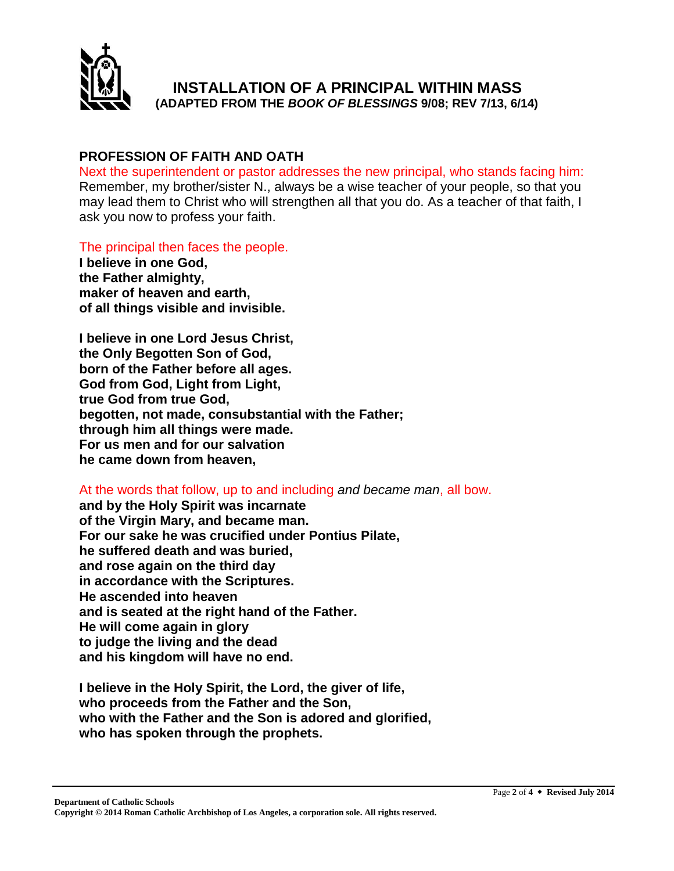

### **PROFESSION OF FAITH AND OATH**

Next the superintendent or pastor addresses the new principal, who stands facing him: Remember, my brother/sister N., always be a wise teacher of your people, so that you may lead them to Christ who will strengthen all that you do. As a teacher of that faith, I ask you now to profess your faith.

The principal then faces the people.

**I believe in one God, the Father almighty, maker of heaven and earth, of all things visible and invisible.**

**I believe in one Lord Jesus Christ, the Only Begotten Son of God, born of the Father before all ages. God from God, Light from Light, true God from true God, begotten, not made, consubstantial with the Father; through him all things were made. For us men and for our salvation he came down from heaven,**

At the words that follow, up to and including *and became man*, all bow.

**and by the Holy Spirit was incarnate of the Virgin Mary, and became man. For our sake he was crucified under Pontius Pilate, he suffered death and was buried, and rose again on the third day in accordance with the Scriptures. He ascended into heaven and is seated at the right hand of the Father. He will come again in glory to judge the living and the dead and his kingdom will have no end.**

**I believe in the Holy Spirit, the Lord, the giver of life, who proceeds from the Father and the Son, who with the Father and the Son is adored and glorified, who has spoken through the prophets.**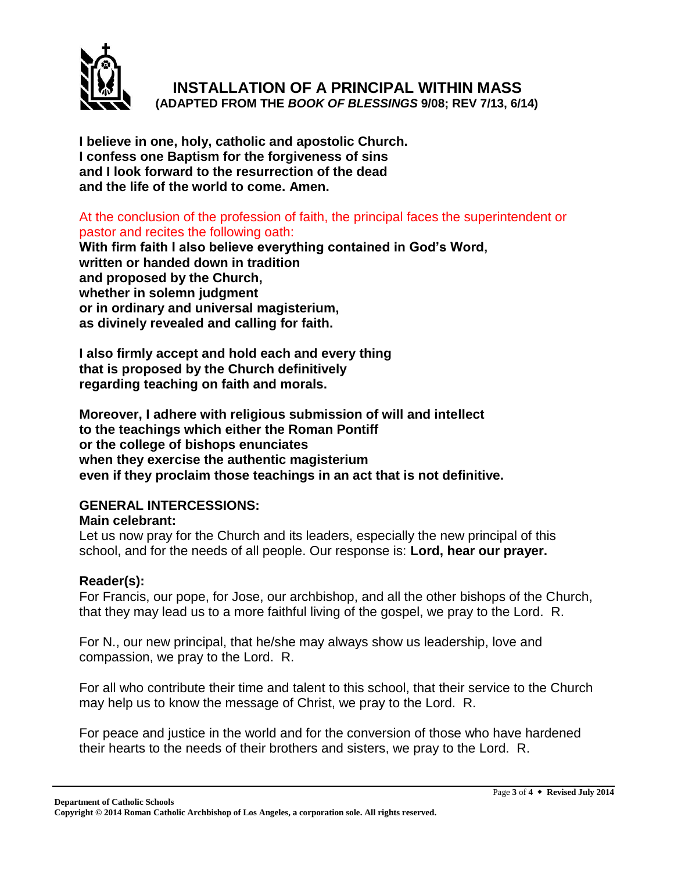

**I believe in one, holy, catholic and apostolic Church. I confess one Baptism for the forgiveness of sins and I look forward to the resurrection of the dead and the life of the world to come. Amen.**

At the conclusion of the profession of faith, the principal faces the superintendent or pastor and recites the following oath:

**With firm faith I also believe everything contained in God's Word, written or handed down in tradition and proposed by the Church, whether in solemn judgment or in ordinary and universal magisterium, as divinely revealed and calling for faith.**

**I also firmly accept and hold each and every thing that is proposed by the Church definitively regarding teaching on faith and morals.**

**Moreover, I adhere with religious submission of will and intellect to the teachings which either the Roman Pontiff or the college of bishops enunciates when they exercise the authentic magisterium even if they proclaim those teachings in an act that is not definitive.**

# **GENERAL INTERCESSIONS:**

#### **Main celebrant:**

Let us now pray for the Church and its leaders, especially the new principal of this school, and for the needs of all people. Our response is: **Lord, hear our prayer.**

#### **Reader(s):**

For Francis, our pope, for Jose, our archbishop, and all the other bishops of the Church, that they may lead us to a more faithful living of the gospel, we pray to the Lord. R.

For N., our new principal, that he/she may always show us leadership, love and compassion, we pray to the Lord. R.

For all who contribute their time and talent to this school, that their service to the Church may help us to know the message of Christ, we pray to the Lord. R.

For peace and justice in the world and for the conversion of those who have hardened their hearts to the needs of their brothers and sisters, we pray to the Lord. R.